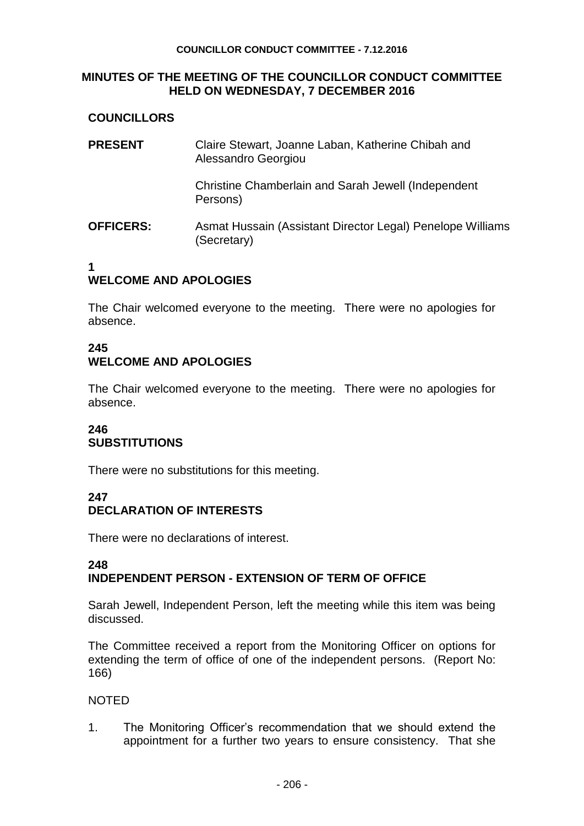#### **COUNCILLOR CONDUCT COMMITTEE - 7.12.2016**

#### **MINUTES OF THE MEETING OF THE COUNCILLOR CONDUCT COMMITTEE HELD ON WEDNESDAY, 7 DECEMBER 2016**

# **COUNCILLORS**

| <b>PRESENT</b>   | Claire Stewart, Joanne Laban, Katherine Chibah and<br>Alessandro Georgiou |
|------------------|---------------------------------------------------------------------------|
|                  | Christine Chamberlain and Sarah Jewell (Independent<br>Persons)           |
| <b>OFFICERS:</b> | Asmat Hussain (Assistant Director Legal) Penelope Williams<br>(Secretary) |

#### **1 WELCOME AND APOLOGIES**

The Chair welcomed everyone to the meeting. There were no apologies for absence.

# **245 WELCOME AND APOLOGIES**

The Chair welcomed everyone to the meeting. There were no apologies for absence.

## **246 SUBSTITUTIONS**

There were no substitutions for this meeting.

#### **247 DECLARATION OF INTERESTS**

There were no declarations of interest.

## **248 INDEPENDENT PERSON - EXTENSION OF TERM OF OFFICE**

Sarah Jewell, Independent Person, left the meeting while this item was being discussed.

The Committee received a report from the Monitoring Officer on options for extending the term of office of one of the independent persons. (Report No: 166)

## NOTED

1. The Monitoring Officer's recommendation that we should extend the appointment for a further two years to ensure consistency. That she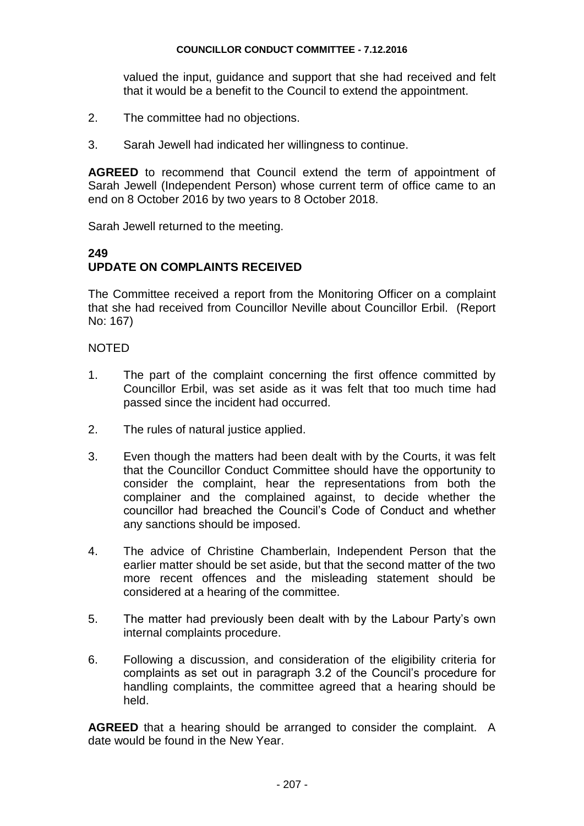#### **COUNCILLOR CONDUCT COMMITTEE - 7.12.2016**

valued the input, guidance and support that she had received and felt that it would be a benefit to the Council to extend the appointment.

- 2. The committee had no objections.
- 3. Sarah Jewell had indicated her willingness to continue.

**AGREED** to recommend that Council extend the term of appointment of Sarah Jewell (Independent Person) whose current term of office came to an end on 8 October 2016 by two years to 8 October 2018.

Sarah Jewell returned to the meeting.

#### **249 UPDATE ON COMPLAINTS RECEIVED**

The Committee received a report from the Monitoring Officer on a complaint that she had received from Councillor Neville about Councillor Erbil. (Report No: 167)

## NOTED

- 1. The part of the complaint concerning the first offence committed by Councillor Erbil, was set aside as it was felt that too much time had passed since the incident had occurred.
- 2. The rules of natural justice applied.
- 3. Even though the matters had been dealt with by the Courts, it was felt that the Councillor Conduct Committee should have the opportunity to consider the complaint, hear the representations from both the complainer and the complained against, to decide whether the councillor had breached the Council's Code of Conduct and whether any sanctions should be imposed.
- 4. The advice of Christine Chamberlain, Independent Person that the earlier matter should be set aside, but that the second matter of the two more recent offences and the misleading statement should be considered at a hearing of the committee.
- 5. The matter had previously been dealt with by the Labour Party's own internal complaints procedure.
- 6. Following a discussion, and consideration of the eligibility criteria for complaints as set out in paragraph 3.2 of the Council's procedure for handling complaints, the committee agreed that a hearing should be held.

**AGREED** that a hearing should be arranged to consider the complaint. A date would be found in the New Year.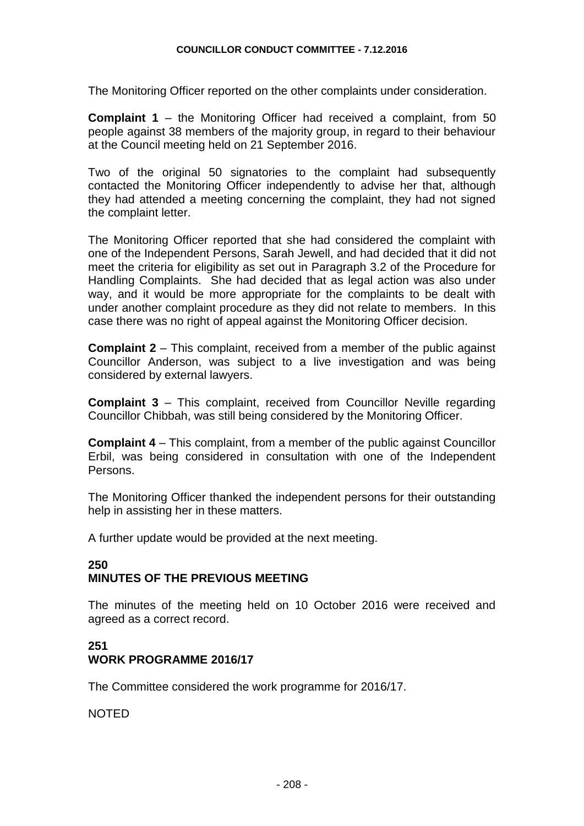The Monitoring Officer reported on the other complaints under consideration.

**Complaint 1** – the Monitoring Officer had received a complaint, from 50 people against 38 members of the majority group, in regard to their behaviour at the Council meeting held on 21 September 2016.

Two of the original 50 signatories to the complaint had subsequently contacted the Monitoring Officer independently to advise her that, although they had attended a meeting concerning the complaint, they had not signed the complaint letter.

The Monitoring Officer reported that she had considered the complaint with one of the Independent Persons, Sarah Jewell, and had decided that it did not meet the criteria for eligibility as set out in Paragraph 3.2 of the Procedure for Handling Complaints. She had decided that as legal action was also under way, and it would be more appropriate for the complaints to be dealt with under another complaint procedure as they did not relate to members. In this case there was no right of appeal against the Monitoring Officer decision.

**Complaint 2** – This complaint, received from a member of the public against Councillor Anderson, was subject to a live investigation and was being considered by external lawyers.

**Complaint 3** – This complaint, received from Councillor Neville regarding Councillor Chibbah, was still being considered by the Monitoring Officer.

**Complaint 4** – This complaint, from a member of the public against Councillor Erbil, was being considered in consultation with one of the Independent Persons.

The Monitoring Officer thanked the independent persons for their outstanding help in assisting her in these matters.

A further update would be provided at the next meeting.

## **250 MINUTES OF THE PREVIOUS MEETING**

The minutes of the meeting held on 10 October 2016 were received and agreed as a correct record.

## **251 WORK PROGRAMME 2016/17**

The Committee considered the work programme for 2016/17.

NOTED